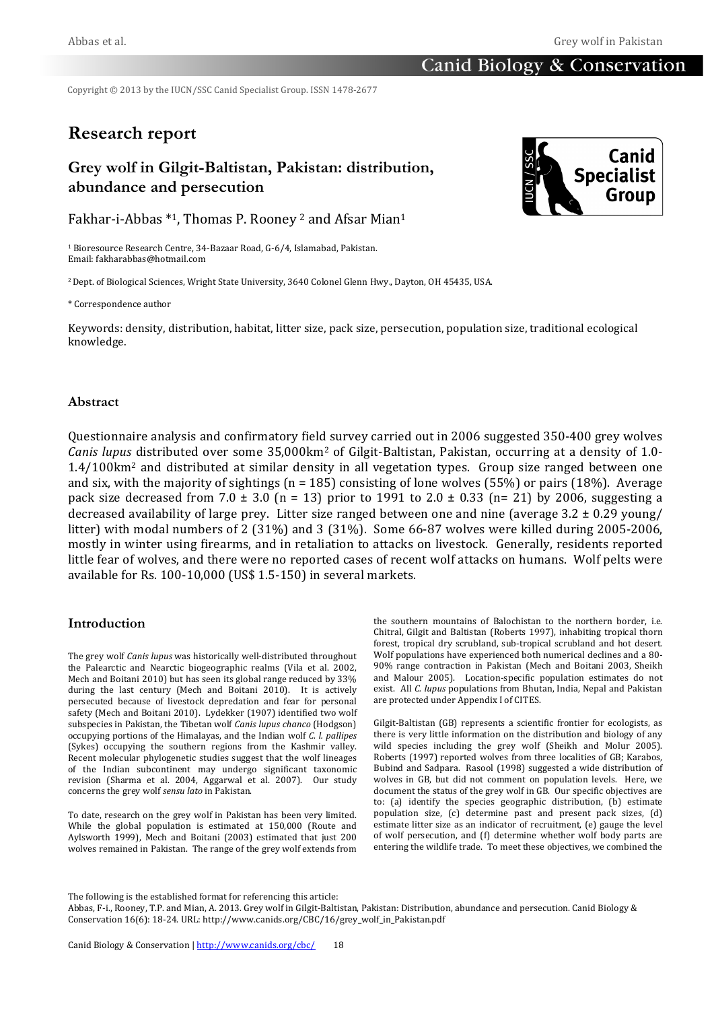# **Canid Biology & Conservation**

Copyright © 2013 by the IUCN/SSC Canid Specialist Group. ISSN 1478-2677

# **Research report**

# **Grey wolf in Gilgit-Baltistan, Pakistan: distribution, abundance and persecution**

Fakhar-i-Abbas  $*1$ , Thomas P. Rooney <sup>2</sup> and Afsar Mian<sup>1</sup>

<sup>1</sup> Bioresource Research Centre, 34-Bazaar Road, G-6/4, Islamabad, Pakistan. Email:%fakharabbas@hotmail.com

<sup>2</sup> Dept. of Biological Sciences, Wright State University, 3640 Colonel Glenn Hwy., Dayton, OH 45435, USA.

\* Correspondence author

Keywords: density, distribution, habitat, litter size, pack size, persecution, population size, traditional ecological knowledge.

## **Abstract**

Questionnaire analysis and confirmatory field survey carried out in 2006 suggested 350-400 grey wolves *Canis lupus* distributed over some 35,000km<sup>2</sup> of Gilgit-Baltistan, Pakistan, occurring at a density of 1.0- $1.4/100$ km<sup>2</sup> and distributed at similar density in all vegetation types. Group size ranged between one and six, with the majority of sightings (n = 185) consisting of lone wolves (55%) or pairs (18%). Average pack size decreased from 7.0  $\pm$  3.0 (n = 13) prior to 1991 to 2.0  $\pm$  0.33 (n= 21) by 2006, suggesting a decreased availability of large prey. Litter size ranged between one and nine (average  $3.2 \pm 0.29$  young/ litter) with modal numbers of 2 (31%) and 3 (31%). Some 66-87 wolves were killed during 2005-2006, mostly in winter using firearms, and in retaliation to attacks on livestock. Generally, residents reported little fear of wolves, and there were no reported cases of recent wolf attacks on humans. Wolf pelts were available for Rs.  $100-10,000$  (US\$ 1.5-150) in several markets.

## **Introduction**

The grey wolf *Canis lupus* was historically well-distributed throughout the Palearctic and Nearctic biogeographic realms (Vila et al. 2002, Mech and Boitani 2010) but has seen its global range reduced by 33% during the last century (Mech and Boitani 2010). It is actively persecuted because of livestock depredation and fear for personal safety (Mech and Boitani 2010). Lydekker (1907) identified two wolf subspecies in Pakistan, the Tibetan wolf *Canis lupus chanco* (Hodgson) occupying portions of the Himalayas, and the Indian wolf *C. l. pallipes* (Sykes) occupying the southern regions from the Kashmir valley. Recent molecular phylogenetic studies suggest that the wolf lineages of the Indian subcontinent may undergo significant taxonomic revision (Sharma et al. 2004, Aggarwal et al. 2007). Our study concerns the grey wolf *sensu lato* in Pakistan.

To date, research on the grey wolf in Pakistan has been very limited. While the global population is estimated at 150,000 (Route and Aylsworth 1999), Mech and Boitani (2003) estimated that just 200 wolves remained in Pakistan. The range of the grey wolf extends from

the southern mountains of Balochistan to the northern border, i.e. Chitral, Gilgit and Baltistan (Roberts 1997), inhabiting tropical thorn forest, tropical dry scrubland, sub-tropical scrubland and hot desert. Wolf populations have experienced both numerical declines and a 80-90% range contraction in Pakistan (Mech and Boitani 2003, Sheikh and Malour 2005). Location-specific population estimates do not exist. All *C. lupus* populations from Bhutan, India, Nepal and Pakistan are protected under Appendix I of CITES.

Gilgit-Baltistan (GB) represents a scientific frontier for ecologists, as there is very little information on the distribution and biology of any wild species including the grey wolf (Sheikh and Molur 2005). Roberts (1997) reported wolves from three localities of GB; Karabos, Bubind and Sadpara. Rasool (1998) suggested a wide distribution of wolves in GB, but did not comment on population levels. Here, we document the status of the grey wolf in GB. Our specific objectives are to: (a) identify the species geographic distribution, (b) estimate population size, (c) determine past and present pack sizes, (d) estimate litter size as an indicator of recruitment, (e) gauge the level of wolf persecution, and (f) determine whether wolf body parts are entering the wildlife trade. To meet these objectives, we combined the

The following is the established format for referencing this article:

Abbas, F-i., Rooney, T.P. and Mian, A. 2013. Grey wolf in Gilgit-Baltistan, Pakistan: Distribution, abundance and persecution. Canid Biology & Conservation 16(6): 18-24. URL: http://www.canids.org/CBC/16/grey\_wolf\_in\_Pakistan.pdf

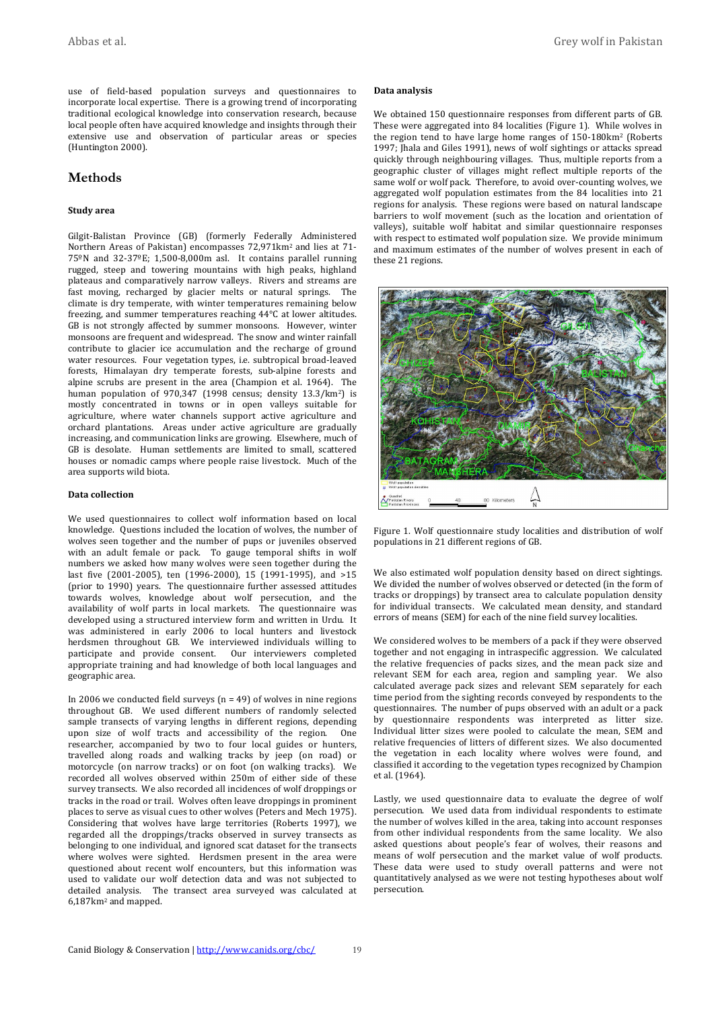use of field-based population surveys and questionnaires to incorporate local expertise. There is a growing trend of incorporating traditional ecological knowledge into conservation research, because local people often have acquired knowledge and insights through their extensive use and observation of particular areas or species (Huntington 2000).

## **Methods**

#### **Study!area**

Gilgit-Balistan Province (GB) (formerly Federally Administered Northern Areas of Pakistan) encompasses 72,971km<sup>2</sup> and lies at 71- $75^{\circ}$ N and  $32$ - $37^{\circ}$ E; 1,500-8,000m asl. It contains parallel running rugged, steep and towering mountains with high peaks, highland plateaus and comparatively narrow valleys. Rivers and streams are fast moving, recharged by glacier melts or natural springs. The climate is dry temperate, with winter temperatures remaining below freezing, and summer temperatures reaching  $44^{\circ}$ C at lower altitudes. GB is not strongly affected by summer monsoons. However, winter monsoons are frequent and widespread. The snow and winter rainfall contribute to glacier ice accumulation and the recharge of ground water resources. Four vegetation types, i.e. subtropical broad-leaved forests, Himalayan dry temperate forests, sub-alpine forests and alpine scrubs are present in the area (Champion et al. 1964). The human population of 970,347 (1998 census; density  $13.3/km^2$ ) is mostly concentrated in towns or in open valleys suitable for agriculture, where water channels support active agriculture and orchard plantations. Areas under active agriculture are gradually  $increasing$ , and communication links are growing. Elsewhere, much of GB is desolate. Human settlements are limited to small, scattered houses or nomadic camps where people raise livestock. Much of the area supports wild biota.

### **Data** collection

We used questionnaires to collect wolf information based on local knowledge. Questions included the location of wolves, the number of wolves seen together and the number of pups or juveniles observed with an adult female or pack. To gauge temporal shifts in wolf numbers we asked how many wolves were seen together during the last five (2001-2005), ten (1996-2000), 15 (1991-1995), and >15 (prior to 1990) years. The questionnaire further assessed attitudes towards wolves, knowledge about wolf persecution, and the availability of wolf parts in local markets. The questionnaire was developed using a structured interview form and written in Urdu. It was administered in early 2006 to local hunters and livestock herdsmen throughout GB. We interviewed individuals willing to participate and provide consent. Our interviewers completed appropriate training and had knowledge of both local languages and geographic area.

In 2006 we conducted field surveys (n = 49) of wolves in nine regions throughout GB. We used different numbers of randomly selected sample transects of varying lengths in different regions, depending upon size of wolf tracts and accessibility of the region. One researcher, accompanied by two to four local guides or hunters, travelled along roads and walking tracks by jeep (on road) or motorcycle (on narrow tracks) or on foot (on walking tracks). We recorded all wolves observed within 250m of either side of these survey transects. We also recorded all incidences of wolf droppings or tracks in the road or trail. Wolves often leave droppings in prominent places to serve as visual cues to other wolves (Peters and Mech 1975). Considering that wolves have large territories (Roberts 1997), we regarded all the droppings/tracks observed in survey transects as belonging to one individual, and ignored scat dataset for the transects where wolves were sighted. Herdsmen present in the area were questioned about recent wolf encounters, but this information was used to validate our wolf detection data and was not subjected to detailed analysis. The transect area surveyed was calculated at  $6,187$  km<sup>2</sup> and mapped.

#### **Data** analysis

We obtained 150 questionnaire responses from different parts of GB. These were aggregated into 84 localities (Figure 1). While wolves in the region tend to have large home ranges of 150-180km<sup>2</sup> (Roberts 1997; Jhala and Giles 1991), news of wolf sightings or attacks spread quickly through neighbouring villages. Thus, multiple reports from a geographic cluster of villages might reflect multiple reports of the same wolf or wolf pack. Therefore, to avoid over-counting wolves, we aggregated wolf population estimates from the 84 localities into 21 regions for analysis. These regions were based on natural landscape barriers to wolf movement (such as the location and orientation of valleys), suitable wolf habitat and similar questionnaire responses with respect to estimated wolf population size. We provide minimum and maximum estimates of the number of wolves present in each of these 21 regions.



Figure 1. Wolf questionnaire study localities and distribution of wolf populations in 21 different regions of GB.

We also estimated wolf population density based on direct sightings. We divided the number of wolves observed or detected (in the form of tracks or droppings) by transect area to calculate population density for individual transects. We calculated mean density, and standard errors of means (SEM) for each of the nine field survey localities.

We considered wolves to be members of a pack if they were observed together and not engaging in intraspecific aggression. We calculated the relative frequencies of packs sizes, and the mean pack size and relevant SEM for each area, region and sampling year. We also calculated average pack sizes and relevant SEM separately for each time period from the sighting records conveyed by respondents to the questionnaires. The number of pups observed with an adult or a pack by questionnaire respondents was interpreted as litter size. Individual litter sizes were pooled to calculate the mean, SEM and relative frequencies of litters of different sizes. We also documented the vegetation in each locality where wolves were found, and classified it according to the vegetation types recognized by Champion et al. (1964).

Lastly, we used questionnaire data to evaluate the degree of wolf persecution. We used data from individual respondents to estimate the number of wolves killed in the area, taking into account responses from other individual respondents from the same locality. We also asked questions about people's fear of wolves, their reasons and means of wolf persecution and the market value of wolf products. These data were used to study overall patterns and were not quantitatively analysed as we were not testing hypotheses about wolf persecution.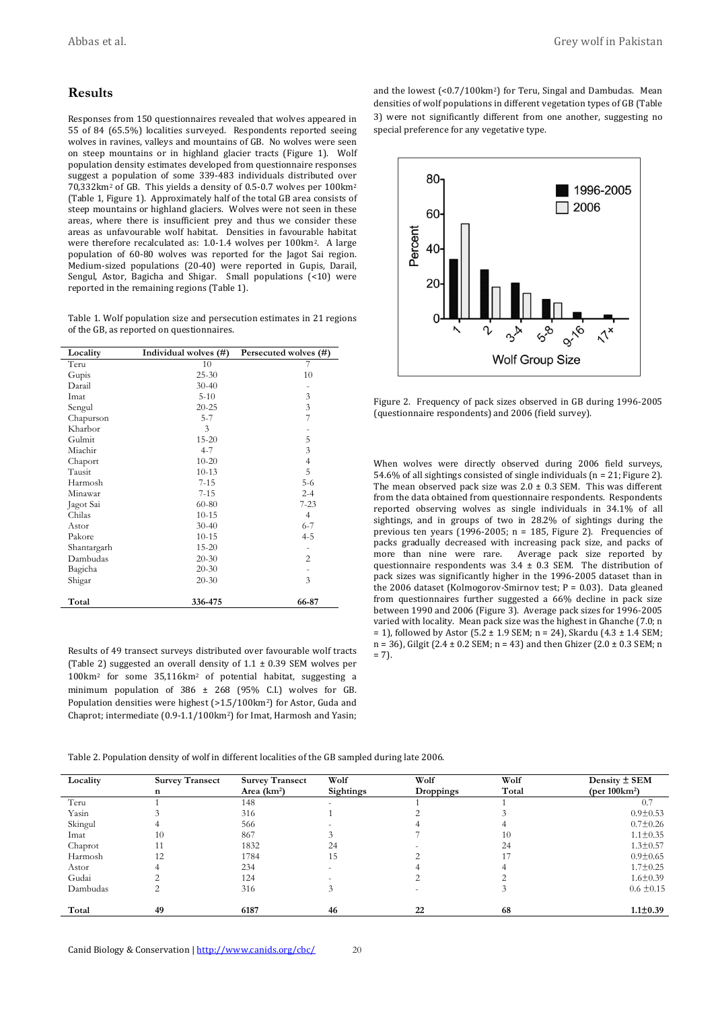## **Results**

Responses from 150 questionnaires revealed that wolves appeared in 55 of 84 (65.5%) localities surveyed. Respondents reported seeing wolves in ravines, valleys and mountains of GB. No wolves were seen on steep mountains or in highland glacier tracts (Figure 1). Wolf population density estimates developed from questionnaire responses suggest a population of some  $339-483$  individuals distributed over 70,332km<sup>2</sup> of GB. This yields a density of 0.5-0.7 wolves per 100km<sup>2</sup> (Table 1, Figure 1). Approximately half of the total GB area consists of steep mountains or highland glaciers. Wolves were not seen in these areas, where there is insufficient prey and thus we consider these areas as unfavourable wolf habitat. Densities in favourable habitat were therefore recalculated as: 1.0-1.4 wolves per 100km<sup>2</sup>. A large population of 60-80 wolves was reported for the Jagot Sai region. Medium-sized populations (20-40) were reported in Gupis, Darail, Sengul, Astor, Bagicha and Shigar. Small populations  $($ <10) were reported in the remaining regions (Table 1).

Table 1. Wolf population size and persecution estimates in 21 regions of the GB, as reported on questionnaires.

| Locality    | Individual wolves (#) | Persecuted wolves (#) |
|-------------|-----------------------|-----------------------|
| Teru        | 10                    | 7                     |
| Gupis       | $25 - 30$             | 10                    |
| Darail      | $30 - 40$             |                       |
| Imat        | $5 - 10$              | 3                     |
| Sengul      | $20 - 25$             | $\mathfrak z$         |
| Chapurson   | $5 - 7$               | 7                     |
| Kharbor     | 3                     |                       |
| Gulmit      | $15 - 20$             | 5                     |
| Miachir     | $4 - 7$               | 3                     |
| Chaport     | $10 - 20$             | 4                     |
| Tausit      | $10 - 13$             | 5                     |
| Harmosh     | $7 - 15$              | $5-6$                 |
| Minawar     | $7 - 15$              | $2 - 4$               |
| Jagot Sai   | 60-80                 | 7-23                  |
| Chilas      | $10 - 15$             | $\overline{4}$        |
| Astor       | $30 - 40$             | $6 - 7$               |
| Pakore      | $10 - 15$             | 4-5                   |
| Shantargarh | $15 - 20$             |                       |
| Dambudas    | $20 - 30$             | $\overline{c}$        |
| Bagicha     | $20 - 30$             |                       |
| Shigar      | $20 - 30$             | 3                     |
| Total       | 336-475               | 66-87                 |

Results of 49 transect surveys distributed over favourable wolf tracts (Table 2) suggested an overall density of  $1.1 \pm 0.39$  SEM wolves per  $100 \text{km}^2$  for some  $35,116 \text{km}^2$  of potential habitat, suggesting a minimum population of  $386 \pm 268$  (95% C.I.) wolves for GB. Population densities were highest ( $>1.5/100$ km<sup>2</sup>) for Astor, Guda and Chaprot; intermediate (0.9-1.1/100km<sup>2</sup>) for Imat, Harmosh and Yasin; and the lowest  $( $0.7/100 \text{ km}^2$ )$  for Teru, Singal and Dambudas. Mean densities of wolf populations in different vegetation types of GB (Table 3) were not significantly different from one another, suggesting no special preference for any vegetative type.



Figure 2. Frequency of pack sizes observed in GB during 1996-2005 (questionnaire respondents) and 2006 (field survey).

When wolves were directly observed during 2006 field surveys, 54.6% of all sightings consisted of single individuals (n = 21; Figure 2). The mean observed pack size was  $2.0 \pm 0.3$  SEM. This was different from the data obtained from questionnaire respondents. Respondents reported observing wolves as single individuals in  $34.1\%$  of all sightings, and in groups of two in 28.2% of sightings during the previous ten years (1996-2005;  $n = 185$ , Figure 2). Frequencies of packs gradually decreased with increasing pack size, and packs of more than nine were rare. Average pack size reported by questionnaire respondents was  $3.4 \pm 0.3$  SEM. The distribution of pack sizes was significantly higher in the 1996-2005 dataset than in the 2006 dataset (Kolmogorov-Smirnov test; P = 0.03). Data gleaned from questionnaires further suggested a  $66\%$  decline in pack size between 1990 and 2006 (Figure 3). Average pack sizes for 1996-2005 varied with locality. Mean pack size was the highest in Ghanche (7.0; n = 1), followed by Astor (5.2 ± 1.9 SEM; n = 24), Skardu (4.3 ± 1.4 SEM; n = 36), Gilgit (2.4 ± 0.2 SEM; n = 43) and then Ghizer (2.0 ± 0.3 SEM; n  $= 7$ ).

Table 2. Population density of wolf in different localities of the GB sampled during late 2006.

| Locality | <b>Survey Transect</b> | <b>Survey Transect</b> | Wolf      | Wolf      | Wolf  | Density $\pm$ SEM        |
|----------|------------------------|------------------------|-----------|-----------|-------|--------------------------|
|          | n                      | Area $(km2)$           | Sightings | Droppings | Total | (per $100 \text{km}^2$ ) |
| Teru     |                        | 148                    |           |           |       | 0.7                      |
| Yasin    |                        | 316                    |           |           |       | $0.9 \pm 0.53$           |
| Skingul  |                        | 566                    |           |           |       | $0.7 \pm 0.26$           |
| Imat     | 10                     | 867                    |           |           | 10    | $1.1 \pm 0.35$           |
| Chaprot  |                        | 1832                   | 24        |           | 24    | $1.3 \pm 0.57$           |
| Harmosh  | 12                     | 1784                   | 15        |           |       | $0.9 \pm 0.65$           |
| Astor    |                        | 234                    |           |           |       | $1.7 \pm 0.25$           |
| Gudai    |                        | 124                    |           |           |       | $1.6 \pm 0.39$           |
| Dambudas |                        | 316                    |           |           |       | $0.6 \pm 0.15$           |
|          |                        |                        |           |           |       |                          |
| Total    | 49                     | 6187                   | 46        | 22        | 68    | $1.1 \pm 0.39$           |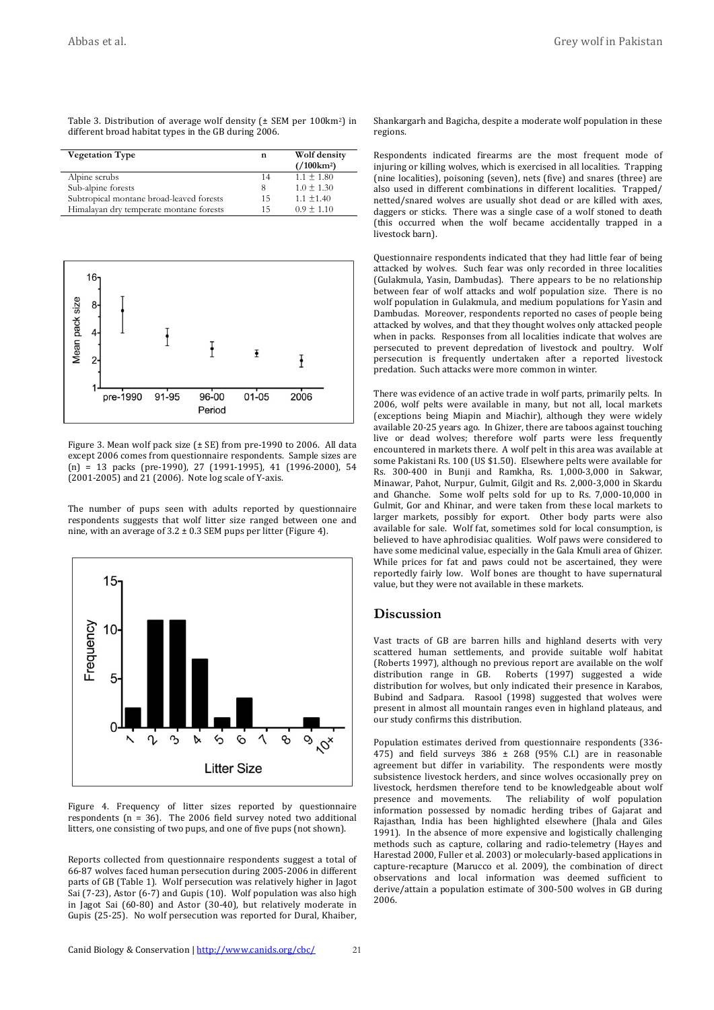Table 3. Distribution of average wolf density ( $\pm$  SEM per 100km<sup>2</sup>) in different broad habitat types in the GB during  $2006$ .

| <b>Vegetation Type</b>                   | n  | Wolf density                 |
|------------------------------------------|----|------------------------------|
|                                          |    | $\frac{1}{100 \text{ km}^2}$ |
| Alpine scrubs                            | 14 | $1.1 \pm 1.80$               |
| Sub-alpine forests                       | 8  | $1.0 + 1.30$                 |
| Subtropical montane broad-leaved forests | 15 | $1.1 \pm 1.40$               |
| Himalayan dry temperate montane forests  | 15 | $0.9 \pm 1.10$               |



Figure 3. Mean wolf pack size ( $\pm$  SE) from pre-1990 to 2006. All data except 2006 comes from questionnaire respondents. Sample sizes are  $(n)$  = 13 packs (pre-1990), 27 (1991-1995), 41 (1996-2000), 54  $(2001-2005)$  and  $21$  (2006). Note log scale of Y-axis.

The number of pups seen with adults reported by questionnaire respondents suggests that wolf litter size ranged between one and nine, with an average of  $3.2 \pm 0.3$  SEM pups per litter (Figure 4).



Figure 4. Frequency of litter sizes reported by questionnaire respondents (n =  $36$ ). The 2006 field survey noted two additional litters, one consisting of two pups, and one of five pups (not shown).

Reports collected from questionnaire respondents suggest a total of 66-87 wolves faced human persecution during 2005-2006 in different parts of GB (Table 1). Wolf persecution was relatively higher in Jagot Sai (7-23), Astor (6-7) and Gupis (10). Wolf population was also high in Jagot Sai  $(60-80)$  and Astor  $(30-40)$ , but relatively moderate in Gupis (25-25). No wolf persecution was reported for Dural, Khaiber,

Shankargarh and Bagicha, despite a moderate wolf population in these regions.

Respondents indicated firearms are the most frequent mode of injuring or killing wolves, which is exercised in all localities. Trapping (nine localities), poisoning (seven), nets (five) and snares (three) are also used in different combinations in different localities. Trapped/ netted/snared wolves are usually shot dead or are killed with axes, daggers or sticks. There was a single case of a wolf stoned to death  $f$  (this occurred when the wolf became accidentally trapped in a livestock barn).

Questionnaire respondents indicated that they had little fear of being attacked by wolves. Such fear was only recorded in three localities (Gulakmula, Yasin, Dambudas). There appears to be no relationship between fear of wolf attacks and wolf population size. There is no wolf population in Gulakmula, and medium populations for Yasin and Dambudas. Moreover, respondents reported no cases of people being attacked by wolves, and that they thought wolves only attacked people when in packs. Responses from all localities indicate that wolves are persecuted to prevent depredation of livestock and poultry. Wolf persecution is frequently undertaken after a reported livestock predation. Such attacks were more common in winter.

There was evidence of an active trade in wolf parts, primarily pelts. In  $2006$ , wolf pelts were available in many, but not all, local markets (exceptions being Miapin and Miachir), although they were widely available 20-25 years ago. In Ghizer, there are taboos against touching live or dead wolves; therefore wolf parts were less frequently encountered in markets there. A wolf pelt in this area was available at some Pakistani Rs. 100 (US \$1.50). Elsewhere pelts were available for Rs. 300-400 in Bunji and Ramkha, Rs. 1,000-3,000 in Sakwar, Minawar, Pahot, Nurpur, Gulmit, Gilgit and Rs. 2,000-3,000 in Skardu and Ghanche. Some wolf pelts sold for up to Rs.  $7,000-10,000$  in Gulmit, Gor and Khinar, and were taken from these local markets to larger markets, possibly for export. Other body parts were also available for sale. Wolf fat, sometimes sold for local consumption, is believed to have aphrodisiac qualities. Wolf paws were considered to have some medicinal value, especially in the Gala Kmuli area of Ghizer. While prices for fat and paws could not be ascertained, they were reportedly fairly low. Wolf bones are thought to have supernatural value, but they were not available in these markets.

### **Discussion**

Vast tracts of GB are barren hills and highland deserts with very scattered human settlements, and provide suitable wolf habitat (Roberts 1997), although no previous report are available on the wolf distribution range in GB. Roberts (1997) suggested a wide distribution for wolves, but only indicated their presence in Karabos, Bubind and Sadpara. Rasool (1998) suggested that wolves were present in almost all mountain ranges even in highland plateaus, and our study confirms this distribution.

Population estimates derived from questionnaire respondents (336-475) and field surveys  $386 \pm 268$  (95% C.I.) are in reasonable agreement but differ in variability. The respondents were mostly subsistence livestock herders, and since wolves occasionally prey on livestock, herdsmen therefore tend to be knowledgeable about wolf presence and movements. The reliability of wolf population information possessed by nomadic herding tribes of Gajarat and Rajasthan, India has been highlighted elsewhere (Jhala and Giles 1991). In the absence of more expensive and logistically challenging methods such as capture, collaring and radio-telemetry (Hayes and Harestad 2000, Fuller et al. 2003) or molecularly-based applications in capture-recapture (Marucco et al. 2009), the combination of direct observations and local information was deemed sufficient to derive/attain a population estimate of 300-500 wolves in GB during 2006.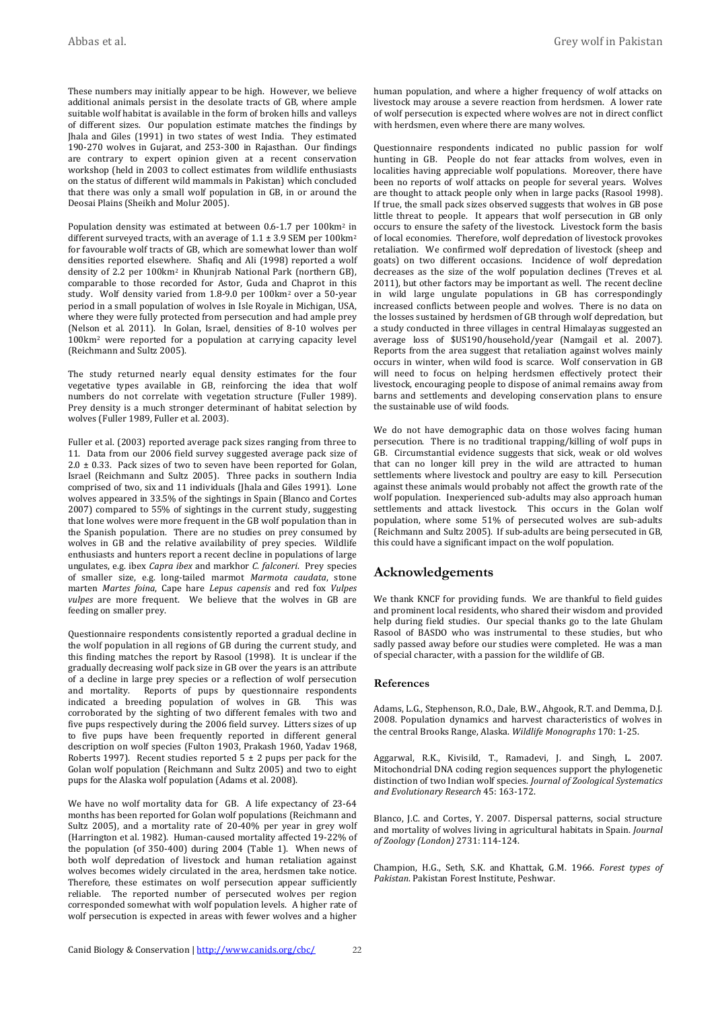These numbers may initially appear to be high. However, we believe additional animals persist in the desolate tracts of GB, where ample suitable wolf habitat is available in the form of broken hills and valleys of different sizes. Our population estimate matches the findings by Jhala and Giles (1991) in two states of west India. They estimated 190-270 wolves in Gujarat, and 253-300 in Rajasthan. Our findings are contrary to expert opinion given at a recent conservation workshop (held in 2003 to collect estimates from wildlife enthusiasts on the status of different wild mammals in Pakistan) which concluded that there was only a small wolf population in GB, in or around the Deosai Plains (Sheikh and Molur 2005).

Population density was estimated at between 0.6-1.7 per  $100 \text{km}^2$  in different surveyed tracts, with an average of  $1.1 \pm 3.9$  SEM per 100 km<sup>2</sup> for favourable wolf tracts of GB, which are somewhat lower than wolf densities reported elsewhere. Shafiq and Ali (1998) reported a wolf density of 2.2 per  $100 \text{km}^2$  in Khunjrab National Park (northern GB), comparable to those recorded for Astor, Guda and Chaprot in this study. Wolf density varied from 1.8-9.0 per 100km<sup>2</sup> over a 50-year period in a small population of wolves in Isle Royale in Michigan, USA, where they were fully protected from persecution and had ample prey (Nelson et al. 2011). In Golan, Israel, densities of 8-10 wolves per  $100$ km<sup>2</sup> were reported for a population at carrying capacity level (Reichmann and Sultz 2005).

The study returned nearly equal density estimates for the four vegetative types available in GB, reinforcing the idea that wolf numbers do not correlate with vegetation structure (Fuller 1989). Prey density is a much stronger determinant of habitat selection by wolves (Fuller 1989, Fuller et al. 2003).

Fuller et al. (2003) reported average pack sizes ranging from three to 11. Data from our 2006 field survey suggested average pack size of 2.0  $\pm$  0.33. Pack sizes of two to seven have been reported for Golan, Israel (Reichmann and Sultz 2005). Three packs in southern India comprised of two, six and 11 individuals (Jhala and Giles 1991). Lone wolves appeared in  $33.5\%$  of the sightings in Spain (Blanco and Cortes 2007) compared to 55% of sightings in the current study, suggesting that lone wolves were more frequent in the GB wolf population than in the Spanish population. There are no studies on prey consumed by wolves in GB and the relative availability of prey species. Wildlife enthusiasts and hunters report a recent decline in populations of large ungulates, e.g. ibex *Capra ibex* and markhor *C. falconeri*. Prey species of smaller size, e.g. long-tailed marmot Marmota caudata, stone marten% *Martes& foina*,% Cape% hare% *Lepus& capensis*% and red fox% *Vulpes& vulpes* are more frequent. We believe that the wolves in GB are feeding on smaller prey.

Questionnaire respondents consistently reported a gradual decline in the wolf population in all regions of GB during the current study, and this finding matches the report by Rasool  $(1998)$ . It is unclear if the gradually decreasing wolf pack size in GB over the years is an attribute of a decline in large prey species or a reflection of wolf persecution and mortality. Reports of pups by questionnaire respondents indicated a breeding population of wolves in GB. This was corroborated by the sighting of two different females with two and five pups respectively during the 2006 field survey. Litters sizes of up to five pups have been frequently reported in different general description on wolf species (Fulton 1903, Prakash 1960, Yadav 1968, Roberts 1997). Recent studies reported  $5 \pm 2$  pups per pack for the Golan wolf population (Reichmann and Sultz 2005) and two to eight pups for the Alaska wolf population (Adams et al. 2008).

We have no wolf mortality data for GB. A life expectancy of 23-64 months has been reported for Golan wolf populations (Reichmann and Sultz 2005), and a mortality rate of 20-40% per year in grey wolf (Harrington et al. 1982). Human-caused mortality affected 19-22% of the population (of  $350-400$ ) during  $2004$  (Table 1). When news of both wolf depredation of livestock and human retaliation against wolves becomes widely circulated in the area, herdsmen take notice. Therefore, these estimates on wolf persecution appear sufficiently reliable. The reported number of persecuted wolves per region corresponded somewhat with wolf population levels. A higher rate of wolf persecution is expected in areas with fewer wolves and a higher

human population, and where a higher frequency of wolf attacks on livestock may arouse a severe reaction from herdsmen. A lower rate of wolf persecution is expected where wolves are not in direct conflict with herdsmen, even where there are many wolves.

Questionnaire respondents indicated no public passion for wolf hunting in GB. People do not fear attacks from wolves, even in localities having appreciable wolf populations. Moreover, there have been no reports of wolf attacks on people for several years. Wolves are thought to attack people only when in large packs (Rasool 1998). If true, the small pack sizes observed suggests that wolves in GB pose little threat to people. It appears that wolf persecution in GB only occurs to ensure the safety of the livestock. Livestock form the basis of local economies. Therefore, wolf depredation of livestock provokes retaliation. We confirmed wolf depredation of livestock (sheep and goats) on two different occasions. Incidence of wolf depredation decreases as the size of the wolf population declines (Treves et al. 2011), but other factors may be important as well. The recent decline in wild large ungulate populations in GB has correspondingly increased conflicts between people and wolves. There is no data on the losses sustained by herdsmen of GB through wolf depredation, but a study conducted in three villages in central Himalayas suggested an average loss of \$US190/household/year (Namgail et al. 2007). Reports from the area suggest that retaliation against wolves mainly occurs in winter, when wild food is scarce. Wolf conservation in GB will need to focus on helping herdsmen effectively protect their livestock, encouraging people to dispose of animal remains away from barns and settlements and developing conservation plans to ensure the sustainable use of wild foods.

We do not have demographic data on those wolves facing human persecution. There is no traditional trapping/killing of wolf pups in GB. Circumstantial evidence suggests that sick, weak or old wolves that can no longer kill prey in the wild are attracted to human settlements where livestock and poultry are easy to kill. Persecution against these animals would probably not affect the growth rate of the wolf population. Inexperienced sub-adults may also approach human settlements and attack livestock. This occurs in the Golan wolf population, where some 51% of persecuted wolves are sub-adults (Reichmann and Sultz 2005). If sub-adults are being persecuted in GB, this could have a significant impact on the wolf population.

## **Acknowledgements**

We thank KNCF for providing funds. We are thankful to field guides and prominent local residents, who shared their wisdom and provided help during field studies. Our special thanks go to the late Ghulam Rasool of BASDO who was instrumental to these studies, but who sadly passed away before our studies were completed. He was a man of special character, with a passion for the wildlife of GB.

### **References**

Adams, L.G., Stephenson, R.O., Dale, B.W., Ahgook, R.T. and Demma, D.J. 2008. Population dynamics and harvest characteristics of wolves in the central Brooks Range, Alaska. Wildlife Monographs 170: 1-25.

Aggarwal, R.K., Kivisild, T., Ramadevi, J. and Singh, L. 2007. Mitochondrial DNA coding region sequences support the phylogenetic distinction of two Indian wolf species. *Journal of Zoological Systematics and&Evolutionary&Research*%45:%163=172.

Blanco, J.C. and Cortes, Y. 2007. Dispersal patterns, social structure and mortality of wolves living in agricultural habitats in Spain. *Journal of&Zoology&(London)*%2731: 114=124.

Champion, H.G., Seth, S.K. and Khattak, G.M. 1966. *Forest types of* Pakistan. Pakistan Forest Institute, Peshwar.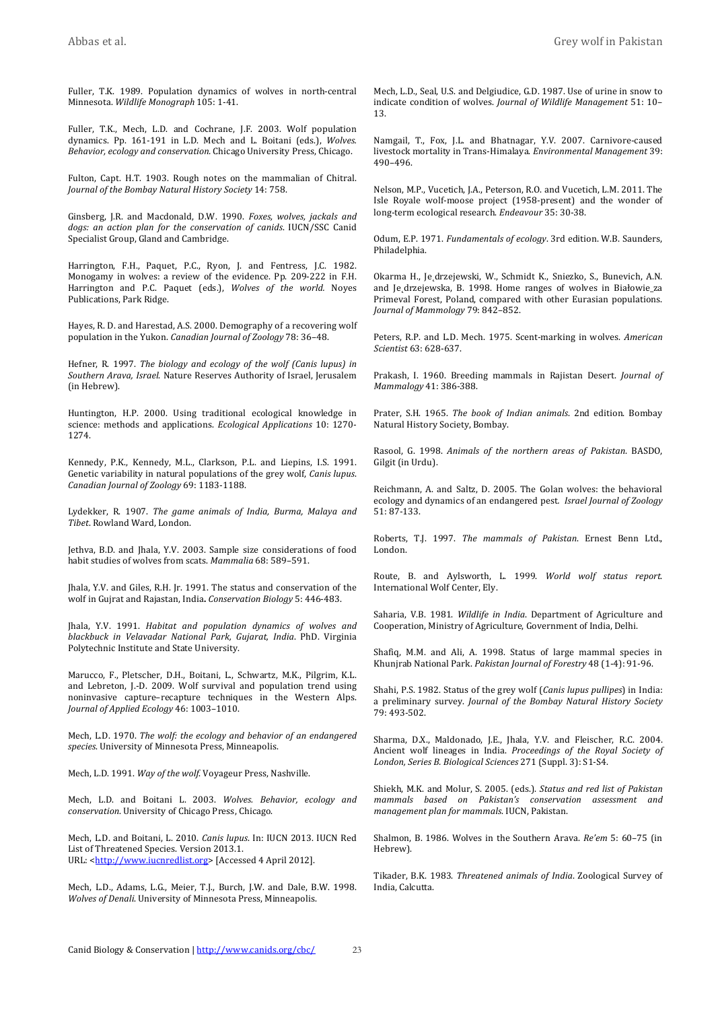Fuller, T.K. 1989. Population dynamics of wolves in north-central Minnesota.%*Wildlife&Monograph*%105:%1=41.

Fuller, T.K., Mech, L.D. and Cochrane, J.F. 2003. Wolf population dynamics. Pp. 161-191 in L.D. Mech and L. Boitani (eds.), *Wolves.* Behavior, ecology and conservation. Chicago University Press, Chicago.

Fulton, Capt. H.T. 1903. Rough notes on the mammalian of Chitral. *Journal of the Bombay Natural History Society* 14: 758.

Ginsberg, J.R. and Macdonald, D.W. 1990. *Foxes, wolves, jackals and* dogs: an action plan for the conservation of canids. IUCN/SSC Canid Specialist Group, Gland and Cambridge.

Harrington, F.H., Paquet, P.C., Ryon, J. and Fentress, J.C. 1982. Monogamy in wolves: a review of the evidence. Pp. 209-222 in F.H. Harrington and P.C. Paquet (eds.), *Wolves of the world.* Noyes Publications, Park Ridge.

Hayes, R. D. and Harestad, A.S. 2000. Demography of a recovering wolf population in the Yukon. *Canadian Journal of Zoology* 78: 36-48.

Hefner, R. 1997. *The biology and ecology of the wolf (Canis lupus) in* Southern Arava, Israel. Nature Reserves Authority of Israel, Jerusalem (in Hebrew).

Huntington, H.P. 2000. Using traditional ecological knowledge in science: methods and applications. *Ecological Applications* 10: 1270-1274.

Kennedy, P.K., Kennedy, M.L., Clarkson, P.L. and Liepins, I.S. 1991. Genetic variability in natural populations of the grey wolf, *Canis lupus*. Canadian Journal of Zoology 69: 1183-1188.

Lydekker, R. 1907. *The game animals of India, Burma, Malaya and* **Tibet. Rowland Ward, London.** 

Jethva, B.D. and Jhala, Y.V. 2003. Sample size considerations of food habit studies of wolves from scats. Mammalia 68: 589-591.

Jhala, Y.V. and Giles, R.H. Jr. 1991. The status and conservation of the wolf in Gujrat and Rajastan, India. *Conservation Biology* 5: 446-483.

Jhala, Y.V. 1991. *Habitat and population dynamics of wolves and blackbuck& in& Velavadar& National& Park,& Gujarat,& India*.% PhD.% Virginia% Polytechnic Institute and State University.

Marucco, F., Pletscher, D.H., Boitani, L., Schwartz, M.K., Pilgrim, K.L. and Lebreton, J.-D. 2009. Wolf survival and population trend using noninvasive capture–recapture techniques in the Western Alps. Journal of Applied Ecology 46: 1003-1010.

Mech, L.D. 1970. The wolf: the ecology and behavior of an endangered species. University of Minnesota Press, Minneapolis.

Mech, L.D. 1991. Way of the wolf. Voyageur Press, Nashville.

Mech, L.D. and Boitani L. 2003. Wolves. Behavior, ecology and *conservation*. University of Chicago Press, Chicago.

Mech, L.D. and Boitani, L. 2010. *Canis lupus*. In: IUCN 2013. IUCN Red List of Threatened Species. Version 2013.1. URL: <http://www.jucnredlist.org> [Accessed 4 April 2012].

Mech, L.D., Adams, L.G., Meier, T.J., Burch, J.W. and Dale, B.W. 1998. *Wolves of Denali*. University of Minnesota Press, Minneapolis.

Mech, L.D., Seal, U.S. and Delgiudice, G.D. 1987. Use of urine in snow to indicate condition of wolves. *Journal of Wildlife Management* 51: 10– 13.

Namgail, T., Fox, J.L. and Bhatnagar, Y.V. 2007. Carnivore-caused livestock mortality in Trans-Himalaya. *Environmental Management* 39: 490–496.%

Nelson, M.P., Vucetich, J.A., Peterson, R.O. and Vucetich, L.M. 2011. The Isle Royale wolf-moose project (1958-present) and the wonder of long-term ecological research. *Endeavour* 35: 30-38.

Odum, E.P. 1971. *Fundamentals of ecology*. 3rd edition. W.B. Saunders, Philadelphia.

Okarma H., Je drzejewski, W., Schmidt K., Sniezko, S., Bunevich, A.N. and Je drzejewska, B. 1998. Home ranges of wolves in Białowie\_za Primeval Forest, Poland, compared with other Eurasian populations. *Journal of Mammology* 79: 842-852.

Peters, R.P. and L.D. Mech. 1975. Scent-marking in wolves. American *Scientist*%63:%628=637.

Prakash, I. 1960. Breeding mammals in Rajistan Desert. *Journal of Mammalogy&*41: 386=388.

Prater, S.H. 1965. *The book of Indian animals*. 2nd edition. Bombay Natural History Society, Bombay.

Rasool, G. 1998. *Animals of the northern areas of Pakistan*. BASDO, Gilgit (in Urdu).

Reichmann, A. and Saltz, D. 2005. The Golan wolves: the behavioral ecology and dynamics of an endangered pest. Israel Journal of Zoology 51:%87=133.

Roberts, T.J. 1997. *The mammals of Pakistan*. Ernest Benn Ltd., London.

Route,% B.% and% Aylsworth,% L.% 1999.% *World& wolf& status& report*.% International Wolf Center, Ely.

Saharia, V.B. 1981. *Wildlife in India*. Department of Agriculture and Cooperation, Ministry of Agriculture, Government of India, Delhi.

Shafiq, M.M. and Ali, A. 1998. Status of large mammal species in Khunjrab National Park. *Pakistan Journal of Forestry* 48 (1-4): 91-96.

Shahi, P.S. 1982. Status of the grey wolf (*Canis lupus pullipes*) in India: a preliminary survey. *Journal of the Bombay Natural History Society* 79: 493=502.

Sharma, D.X., Maldonado, J.E., Jhala, Y.V. and Fleischer, R.C. 2004. Ancient wolf lineages in India. *Proceedings of the Royal Society of London, Series B. Biological Sciences* 271 (Suppl. 3): S1-S4.

Shiekh, M.K. and Molur, S. 2005. (eds.). *Status and red list of Pakistan mammals& based& on& Pakistan's& conservation& assessment& and& management plan for mammals. IUCN, Pakistan.* 

Shalmon, B. 1986. Wolves in the Southern Arava. *Re'em* 5: 60–75 (in Hebrew).

Tikader, B.K. 1983. Threatened animals of India. Zoological Survey of India, Calcutta.